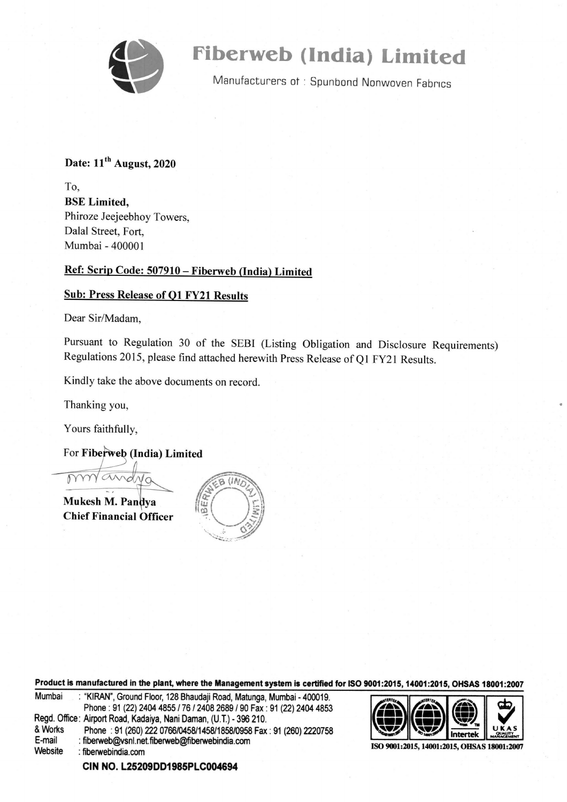

# Fiberweb (India) Limited

Manufacturers of: Spunbond Nonwoven Fabrics

### Date:  $11<sup>th</sup>$  August, 2020

To, BSE Limited, Phiroze Jeejeebhoy Towers, Dalal Street, Fort, Mumbai - 400001

#### Ref: Scrip Code: 507910 — Fiberweb (India) Limited

#### Sub: Press Release of Q1 FY21 Results

Dear Sir/Madam,

Pursuant to Regulation 30 of the SEBI (Listing Obligation and Disclosure Requirements) Regulations 2015, please find attached herewith Press Release of Q1 FY21 Results.

Kindly take the above documents on record.

Thanking you,

Yours faithfully,

For Fiberweb (India) Limited

 $PNNW$ and $NQ$   $\qquad$   $\qquad$   $\qquad$   $\qquad$   $\qquad$   $\qquad$   $\qquad$   $\qquad$   $\qquad$   $\qquad$   $\qquad$   $\qquad$   $\qquad$   $\qquad$   $\qquad$   $\qquad$   $\qquad$   $\qquad$   $\qquad$   $\qquad$   $\qquad$   $\qquad$   $\qquad$   $\qquad$   $\qquad$   $\qquad$   $\qquad$   $\qquad$   $\qquad$   $\qquad$   $\qquad$   $\qquad$   $\qquad$   $\qquad$   $\qquad$ 

**Mukesh M. Pandya**  $\begin{bmatrix} \frac{\partial}{\partial u} \\ \frac{\partial}{\partial v} \end{bmatrix}$  Chief Financial Officer



Product is manufactured in the plant, where the Management system is certified for ISO 9001:2015, 14001:2015, OHSAS 18001:2007  $\frac{1}{2012015,14001:2015}$ 

| Mumbai                                                             | : "KIRAN", Ground Floor, 128 Bhaudaji Road, Matunga, Mumbai - 400019. |  |  |  |
|--------------------------------------------------------------------|-----------------------------------------------------------------------|--|--|--|
|                                                                    | Phone: 91 (22) 2404 4855 / 76 / 2408 2689 / 90 Fax: 91 (22) 2404 4853 |  |  |  |
| Regd. Office: Airport Road, Kadaiya, Nani Daman, (U.T.) - 396 210. |                                                                       |  |  |  |
| & Works                                                            | Phone: 91 (260) 222 0766/0458/1458/1858/0958 Fax: 91 (260) 2220758    |  |  |  |
| E-mail                                                             | : fiberweb@vsnl.net.fiberweb@fiberwebindia.com                        |  |  |  |
| Website                                                            | : fiberwebindia.com                                                   |  |  |  |
|                                                                    |                                                                       |  |  |  |



ISO 9001:2015, 14001:2015, OHSAS 18001:2007

CIN NO. L25209DD1985PLC004694